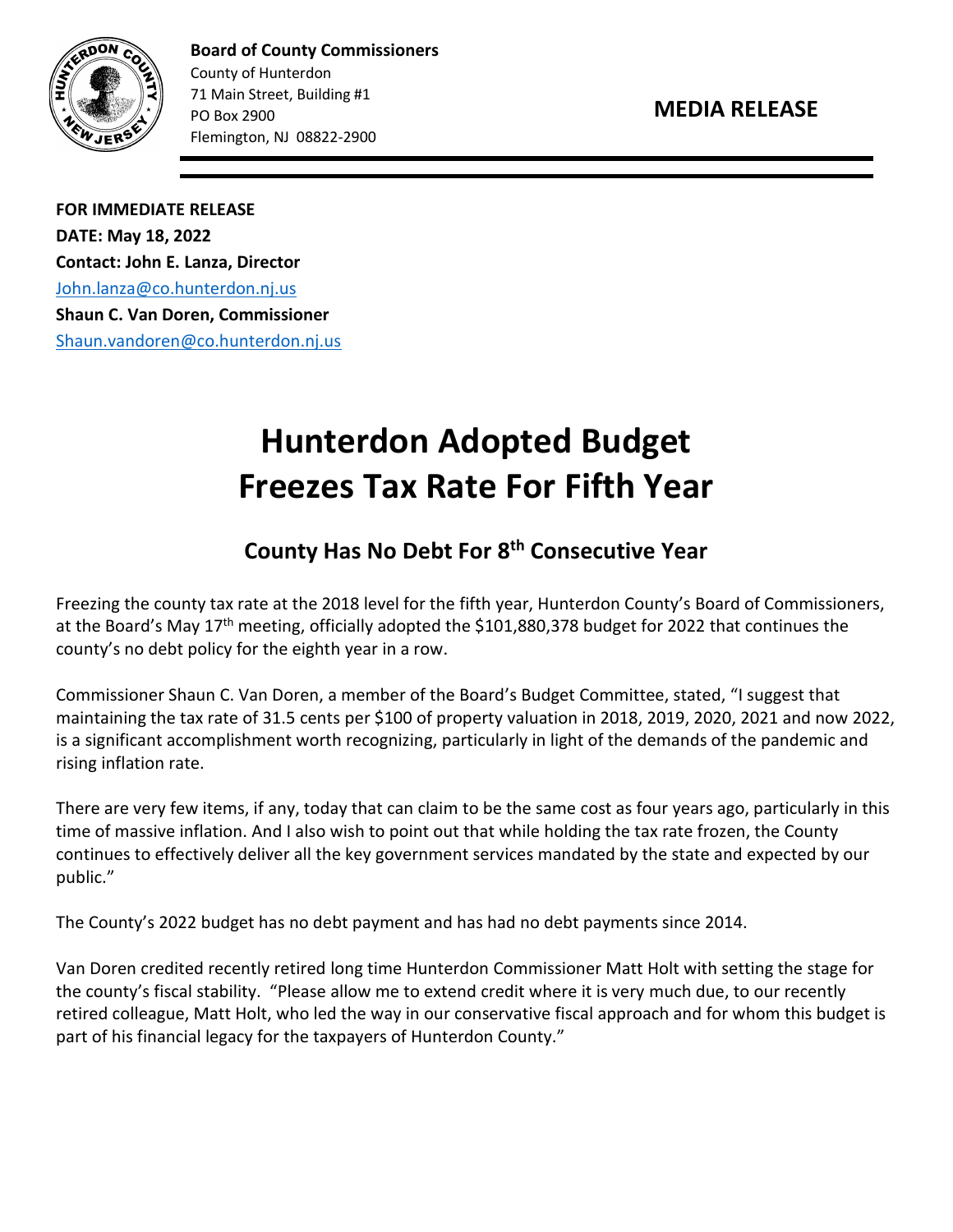

**Board of County Commissioners** County of Hunterdon 71 Main Street, Building #1 PO Box 2900 Flemington, NJ 08822-2900

**FOR IMMEDIATE RELEASE DATE: May 18, 2022 Contact: John E. Lanza, Director** [John.lanza@co.hunterdon.nj.us](mailto:John.lanza@co.hunterdon.nj.us) **Shaun C. Van Doren, Commissioner** [Shaun.vandoren@co.hunterdon.nj.us](mailto:Shaun.vandoren@co.hunterdon.nj.us)

## **Hunterdon Adopted Budget Freezes Tax Rate For Fifth Year**

## **County Has No Debt For 8th Consecutive Year**

Freezing the county tax rate at the 2018 level for the fifth year, Hunterdon County's Board of Commissioners, at the Board's May 17<sup>th</sup> meeting, officially adopted the \$101,880,378 budget for 2022 that continues the county's no debt policy for the eighth year in a row.

Commissioner Shaun C. Van Doren, a member of the Board's Budget Committee, stated, "I suggest that maintaining the tax rate of 31.5 cents per \$100 of property valuation in 2018, 2019, 2020, 2021 and now 2022, is a significant accomplishment worth recognizing, particularly in light of the demands of the pandemic and rising inflation rate.

There are very few items, if any, today that can claim to be the same cost as four years ago, particularly in this time of massive inflation. And I also wish to point out that while holding the tax rate frozen, the County continues to effectively deliver all the key government services mandated by the state and expected by our public."

The County's 2022 budget has no debt payment and has had no debt payments since 2014.

Van Doren credited recently retired long time Hunterdon Commissioner Matt Holt with setting the stage for the county's fiscal stability. "Please allow me to extend credit where it is very much due, to our recently retired colleague, Matt Holt, who led the way in our conservative fiscal approach and for whom this budget is part of his financial legacy for the taxpayers of Hunterdon County."